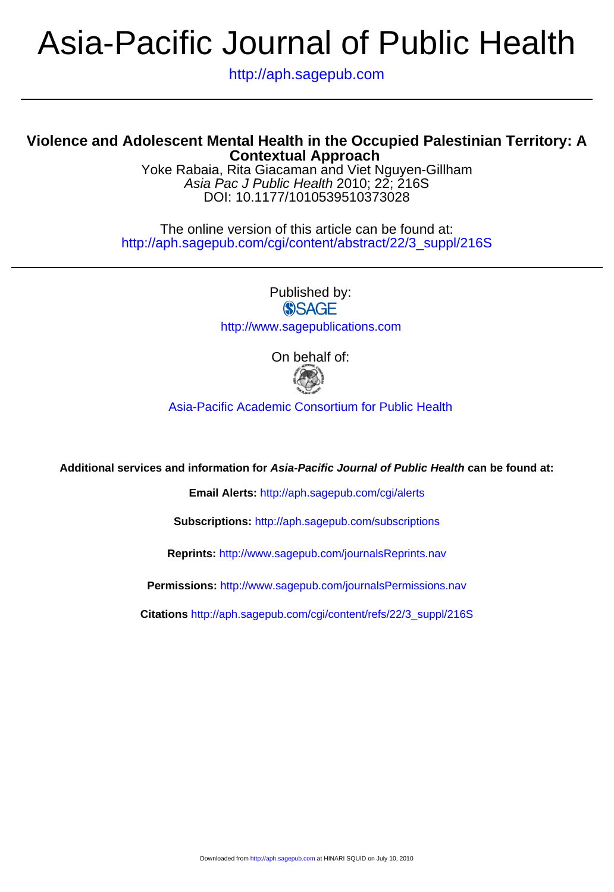# Asia-Pacific Journal of Public Health

http://aph.sagepub.com

# **Contextual Approach Violence and Adolescent Mental Health in the Occupied Palestinian Territory: A**

DOI: 10.1177/1010539510373028 Asia Pac J Public Health 2010; 22; 216S Yoke Rabaia, Rita Giacaman and Viet Nguyen-Gillham

http://aph.sagepub.com/cgi/content/abstract/22/3\_suppl/216S The online version of this article can be found at:

> Published by: **SSAGE** http://www.sagepublications.com

> > On behalf of:



[Asia-Pacific Academic Consortium for Public Health](http://www.apacph.org/site/index.php)

**Additional services and information for Asia-Pacific Journal of Public Health can be found at:**

**Email Alerts:** <http://aph.sagepub.com/cgi/alerts>

**Subscriptions:** <http://aph.sagepub.com/subscriptions>

**Reprints:** <http://www.sagepub.com/journalsReprints.nav>

**Permissions:** <http://www.sagepub.com/journalsPermissions.nav>

**Citations** [http://aph.sagepub.com/cgi/content/refs/22/3\\_suppl/216S](http://aph.sagepub.com/cgi/content/refs/22/3_suppl/216S)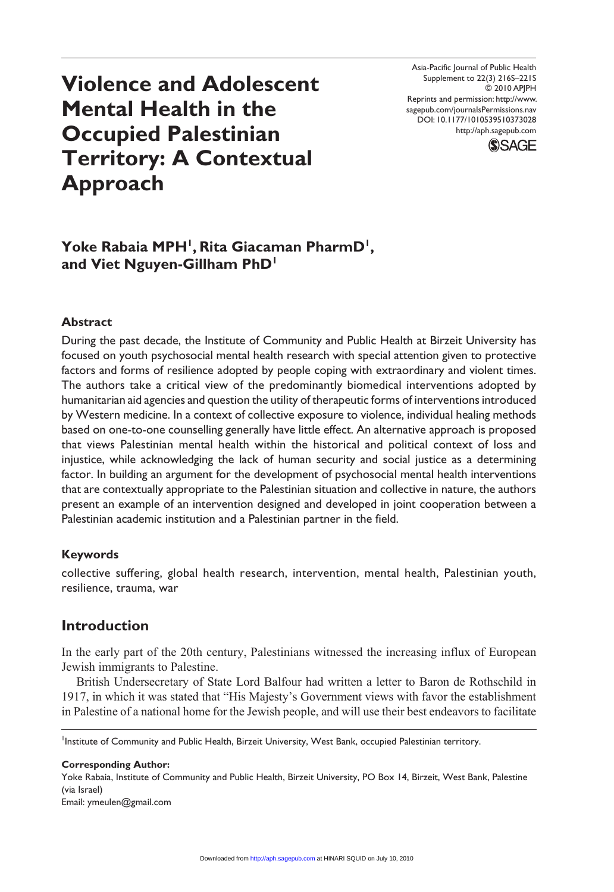# **Violence and Adolescent Mental Health in the Occupied Palestinian Territory: A Contextual Approach**

Asia-Pacific Journal of Public Health Supplement to 22(3) 216S–221S © 2010 APJPH Reprints and permission: http://www. sagepub.com/journalsPermissions.nav DOI: 10.1177/1010539510373028 http://aph.sagepub.com



# **Yoke Rabaia MPH1 , Rita Giacaman PharmD1 , and Viet Nguyen-Gillham PhD1**

## **Abstract**

During the past decade, the Institute of Community and Public Health at Birzeit University has focused on youth psychosocial mental health research with special attention given to protective factors and forms of resilience adopted by people coping with extraordinary and violent times. The authors take a critical view of the predominantly biomedical interventions adopted by humanitarian aid agencies and question the utility of therapeutic forms of interventions introduced by Western medicine. In a context of collective exposure to violence, individual healing methods based on one-to-one counselling generally have little effect. An alternative approach is proposed that views Palestinian mental health within the historical and political context of loss and injustice, while acknowledging the lack of human security and social justice as a determining factor. In building an argument for the development of psychosocial mental health interventions that are contextually appropriate to the Palestinian situation and collective in nature, the authors present an example of an intervention designed and developed in joint cooperation between a Palestinian academic institution and a Palestinian partner in the field.

#### **Keywords**

collective suffering, global health research, intervention, mental health, Palestinian youth, resilience, trauma, war

## **Introduction**

In the early part of the 20th century, Palestinians witnessed the increasing influx of European Jewish immigrants to Palestine.

British Undersecretary of State Lord Balfour had written a letter to Baron de Rothschild in 1917, in which it was stated that "His Majesty's Government views with favor the establishment in Palestine of a national home for the Jewish people, and will use their best endeavors to facilitate

Institute of Community and Public Health, Birzeit University, West Bank, occupied Palestinian territory.

**Corresponding Author:** Yoke Rabaia, Institute of Community and Public Health, Birzeit University, PO Box 14, Birzeit, West Bank, Palestine (via Israel)

Email: ymeulen@gmail.com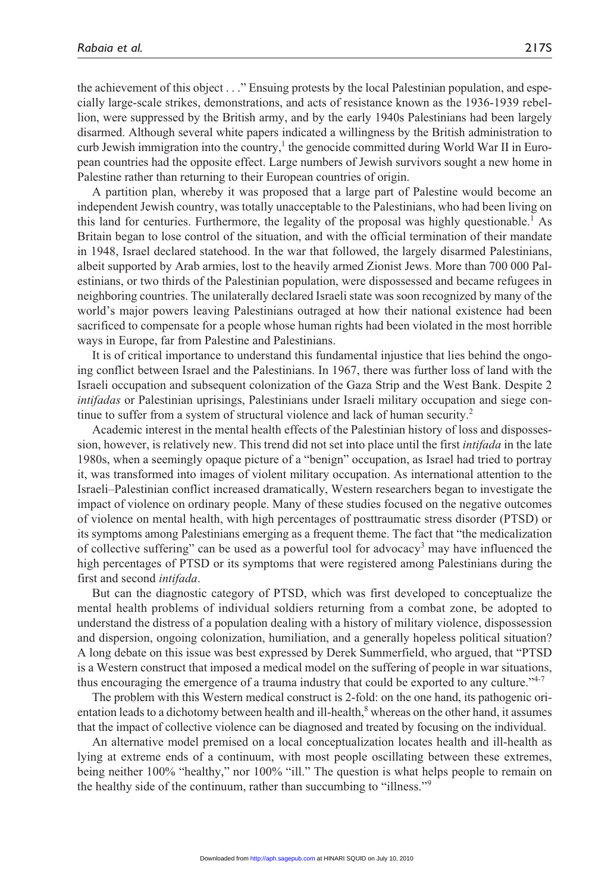the achievement of this object . . ." Ensuing protests by the local Palestinian population, and especially large-scale strikes, demonstrations, and acts of resistance known as the 1936-1939 rebellion, were suppressed by the British army, and by the early 1940s Palestinians had been largely disarmed. Although several white papers indicated a willingness by the British administration to curb Jewish immigration into the country, $<sup>1</sup>$  the genocide committed during World War II in Euro-</sup> pean countries had the opposite effect. Large numbers of Jewish survivors sought a new home in Palestine rather than returning to their European countries of origin.

A partition plan, whereby it was proposed that a large part of Palestine would become an independent Jewish country, was totally unacceptable to the Palestinians, who had been living on this land for centuries. Furthermore, the legality of the proposal was highly questionable.<sup>1</sup> As Britain began to lose control of the situation, and with the official termination of their mandate in 1948, Israel declared statehood. In the war that followed, the largely disarmed Palestinians, albeit supported by Arab armies, lost to the heavily armed Zionist Jews. More than 700 000 Palestinians, or two thirds of the Palestinian population, were dispossessed and became refugees in neighboring countries. The unilaterally declared Israeli state was soon recognized by many of the world's major powers leaving Palestinians outraged at how their national existence had been sacrificed to compensate for a people whose human rights had been violated in the most horrible ways in Europe, far from Palestine and Palestinians.

It is of critical importance to understand this fundamental injustice that lies behind the ongoing conflict between Israel and the Palestinians. In 1967, there was further loss of land with the Israeli occupation and subsequent colonization of the Gaza Strip and the West Bank. Despite 2 *intifadas* or Palestinian uprisings, Palestinians under Israeli military occupation and siege continue to suffer from a system of structural violence and lack of human security.<sup>2</sup>

Academic interest in the mental health effects of the Palestinian history of loss and dispossession, however, is relatively new. This trend did not set into place until the first *intifada* in the late 1980s, when a seemingly opaque picture of a "benign" occupation, as Israel had tried to portray it, was transformed into images of violent military occupation. As international attention to the Israeli–Palestinian conflict increased dramatically, Western researchers began to investigate the impact of violence on ordinary people. Many of these studies focused on the negative outcomes of violence on mental health, with high percentages of posttraumatic stress disorder (PTSD) or its symptoms among Palestinians emerging as a frequent theme. The fact that "the medicalization of collective suffering" can be used as a powerful tool for advocacy<sup>3</sup> may have influenced the high percentages of PTSD or its symptoms that were registered among Palestinians during the first and second *intifada*.

But can the diagnostic category of PTSD, which was first developed to conceptualize the mental health problems of individual soldiers returning from a combat zone, be adopted to understand the distress of a population dealing with a history of military violence, dispossession and dispersion, ongoing colonization, humiliation, and a generally hopeless political situation? A long debate on this issue was best expressed by Derek Summerfield, who argued, that "PTSD is a Western construct that imposed a medical model on the suffering of people in war situations, thus encouraging the emergence of a trauma industry that could be exported to any culture."<sup>4-7</sup>

The problem with this Western medical construct is 2-fold: on the one hand, its pathogenic orientation leads to a dichotomy between health and ill-health,<sup>8</sup> whereas on the other hand, it assumes that the impact of collective violence can be diagnosed and treated by focusing on the individual.

An alternative model premised on a local conceptualization locates health and ill-health as lying at extreme ends of a continuum, with most people oscillating between these extremes, being neither 100% "healthy," nor 100% "ill." The question is what helps people to remain on the healthy side of the continuum, rather than succumbing to "illness."9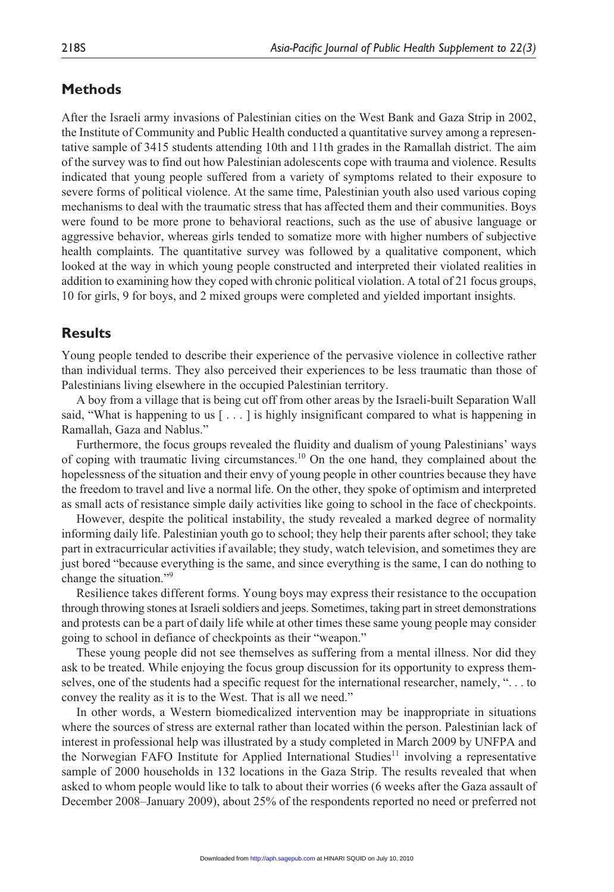# **Methods**

After the Israeli army invasions of Palestinian cities on the West Bank and Gaza Strip in 2002, the Institute of Community and Public Health conducted a quantitative survey among a representative sample of 3415 students attending 10th and 11th grades in the Ramallah district. The aim of the survey was to find out how Palestinian adolescents cope with trauma and violence. Results indicated that young people suffered from a variety of symptoms related to their exposure to severe forms of political violence. At the same time, Palestinian youth also used various coping mechanisms to deal with the traumatic stress that has affected them and their communities. Boys were found to be more prone to behavioral reactions, such as the use of abusive language or aggressive behavior, whereas girls tended to somatize more with higher numbers of subjective health complaints. The quantitative survey was followed by a qualitative component, which looked at the way in which young people constructed and interpreted their violated realities in addition to examining how they coped with chronic political violation. A total of 21 focus groups, 10 for girls, 9 for boys, and 2 mixed groups were completed and yielded important insights.

# **Results**

Young people tended to describe their experience of the pervasive violence in collective rather than individual terms. They also perceived their experiences to be less traumatic than those of Palestinians living elsewhere in the occupied Palestinian territory.

A boy from a village that is being cut off from other areas by the Israeli-built Separation Wall said, "What is happening to us  $[\dots]$  is highly insignificant compared to what is happening in Ramallah, Gaza and Nablus."

Furthermore, the focus groups revealed the fluidity and dualism of young Palestinians' ways of coping with traumatic living circumstances.10 On the one hand, they complained about the hopelessness of the situation and their envy of young people in other countries because they have the freedom to travel and live a normal life. On the other, they spoke of optimism and interpreted as small acts of resistance simple daily activities like going to school in the face of checkpoints.

However, despite the political instability, the study revealed a marked degree of normality informing daily life. Palestinian youth go to school; they help their parents after school; they take part in extracurricular activities if available; they study, watch television, and sometimes they are just bored "because everything is the same, and since everything is the same, I can do nothing to change the situation."9

Resilience takes different forms. Young boys may express their resistance to the occupation through throwing stones at Israeli soldiers and jeeps. Sometimes, taking part in street demonstrations and protests can be a part of daily life while at other times these same young people may consider going to school in defiance of checkpoints as their "weapon."

These young people did not see themselves as suffering from a mental illness. Nor did they ask to be treated. While enjoying the focus group discussion for its opportunity to express themselves, one of the students had a specific request for the international researcher, namely, ". . . to convey the reality as it is to the West. That is all we need."

In other words, a Western biomedicalized intervention may be inappropriate in situations where the sources of stress are external rather than located within the person. Palestinian lack of interest in professional help was illustrated by a study completed in March 2009 by UNFPA and the Norwegian FAFO Institute for Applied International Studies<sup>11</sup> involving a representative sample of 2000 households in 132 locations in the Gaza Strip. The results revealed that when asked to whom people would like to talk to about their worries (6 weeks after the Gaza assault of December 2008–January 2009), about 25% of the respondents reported no need or preferred not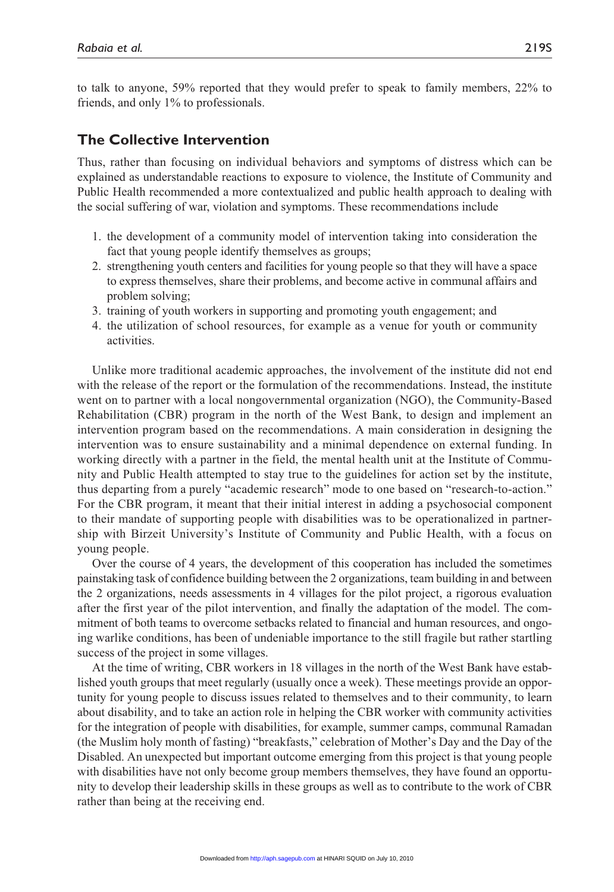to talk to anyone, 59% reported that they would prefer to speak to family members, 22% to friends, and only 1% to professionals.

# **The Collective Intervention**

Thus, rather than focusing on individual behaviors and symptoms of distress which can be explained as understandable reactions to exposure to violence, the Institute of Community and Public Health recommended a more contextualized and public health approach to dealing with the social suffering of war, violation and symptoms. These recommendations include

- 1. the development of a community model of intervention taking into consideration the fact that young people identify themselves as groups;
- 2. strengthening youth centers and facilities for young people so that they will have a space to express themselves, share their problems, and become active in communal affairs and problem solving;
- 3. training of youth workers in supporting and promoting youth engagement; and
- 4. the utilization of school resources, for example as a venue for youth or community activities.

Unlike more traditional academic approaches, the involvement of the institute did not end with the release of the report or the formulation of the recommendations. Instead, the institute went on to partner with a local nongovernmental organization (NGO), the Community-Based Rehabilitation (CBR) program in the north of the West Bank, to design and implement an intervention program based on the recommendations. A main consideration in designing the intervention was to ensure sustainability and a minimal dependence on external funding. In working directly with a partner in the field, the mental health unit at the Institute of Community and Public Health attempted to stay true to the guidelines for action set by the institute, thus departing from a purely "academic research" mode to one based on "research-to-action." For the CBR program, it meant that their initial interest in adding a psychosocial component to their mandate of supporting people with disabilities was to be operationalized in partnership with Birzeit University's Institute of Community and Public Health, with a focus on young people.

Over the course of 4 years, the development of this cooperation has included the sometimes painstaking task of confidence building between the 2 organizations, team building in and between the 2 organizations, needs assessments in 4 villages for the pilot project, a rigorous evaluation after the first year of the pilot intervention, and finally the adaptation of the model. The commitment of both teams to overcome setbacks related to financial and human resources, and ongoing warlike conditions, has been of undeniable importance to the still fragile but rather startling success of the project in some villages.

At the time of writing, CBR workers in 18 villages in the north of the West Bank have established youth groups that meet regularly (usually once a week). These meetings provide an opportunity for young people to discuss issues related to themselves and to their community, to learn about disability, and to take an action role in helping the CBR worker with community activities for the integration of people with disabilities, for example, summer camps, communal Ramadan (the Muslim holy month of fasting) "breakfasts," celebration of Mother's Day and the Day of the Disabled. An unexpected but important outcome emerging from this project is that young people with disabilities have not only become group members themselves, they have found an opportunity to develop their leadership skills in these groups as well as to contribute to the work of CBR rather than being at the receiving end.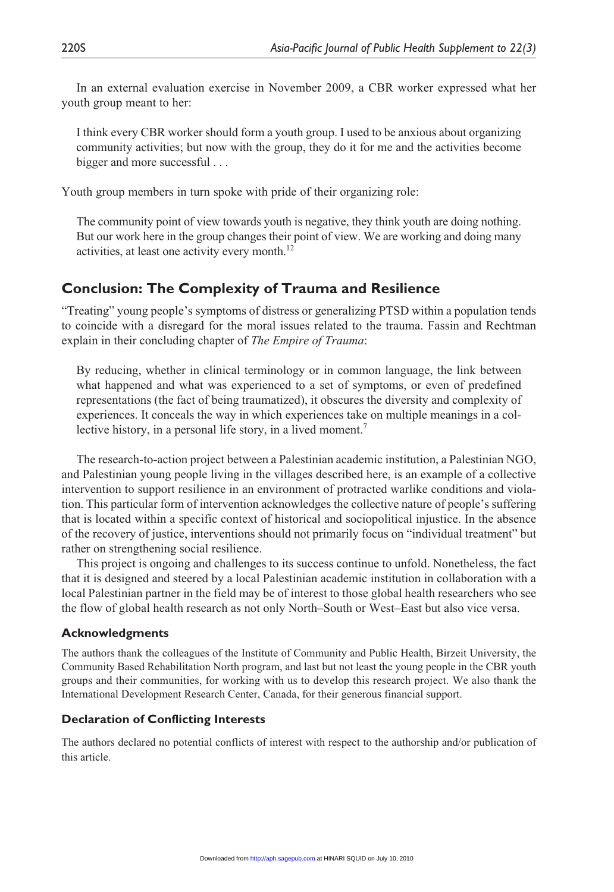In an external evaluation exercise in November 2009, a CBR worker expressed what her youth group meant to her:

I think every CBR worker should form a youth group. I used to be anxious about organizing community activities; but now with the group, they do it for me and the activities become bigger and more successful . . .

Youth group members in turn spoke with pride of their organizing role:

The community point of view towards youth is negative, they think youth are doing nothing. But our work here in the group changes their point of view. We are working and doing many activities, at least one activity every month.<sup>12</sup>

# **Conclusion: The Complexity of Trauma and Resilience**

"Treating" young people's symptoms of distress or generalizing PTSD within a population tends to coincide with a disregard for the moral issues related to the trauma. Fassin and Rechtman explain in their concluding chapter of *The Empire of Trauma*:

By reducing, whether in clinical terminology or in common language, the link between what happened and what was experienced to a set of symptoms, or even of predefined representations (the fact of being traumatized), it obscures the diversity and complexity of experiences. It conceals the way in which experiences take on multiple meanings in a collective history, in a personal life story, in a lived moment.

The research-to-action project between a Palestinian academic institution, a Palestinian NGO, and Palestinian young people living in the villages described here, is an example of a collective intervention to support resilience in an environment of protracted warlike conditions and violation. This particular form of intervention acknowledges the collective nature of people's suffering that is located within a specific context of historical and sociopolitical injustice. In the absence of the recovery of justice, interventions should not primarily focus on "individual treatment" but rather on strengthening social resilience.

This project is ongoing and challenges to its success continue to unfold. Nonetheless, the fact that it is designed and steered by a local Palestinian academic institution in collaboration with a local Palestinian partner in the field may be of interest to those global health researchers who see the flow of global health research as not only North–South or West–East but also vice versa.

#### **Acknowledgments**

The authors thank the colleagues of the Institute of Community and Public Health, Birzeit University, the Community Based Rehabilitation North program, and last but not least the young people in the CBR youth groups and their communities, for working with us to develop this research project. We also thank the International Development Research Center, Canada, for their generous financial support.

#### **Declaration of Conflicting Interests**

The authors declared no potential conflicts of interest with respect to the authorship and/or publication of this article.